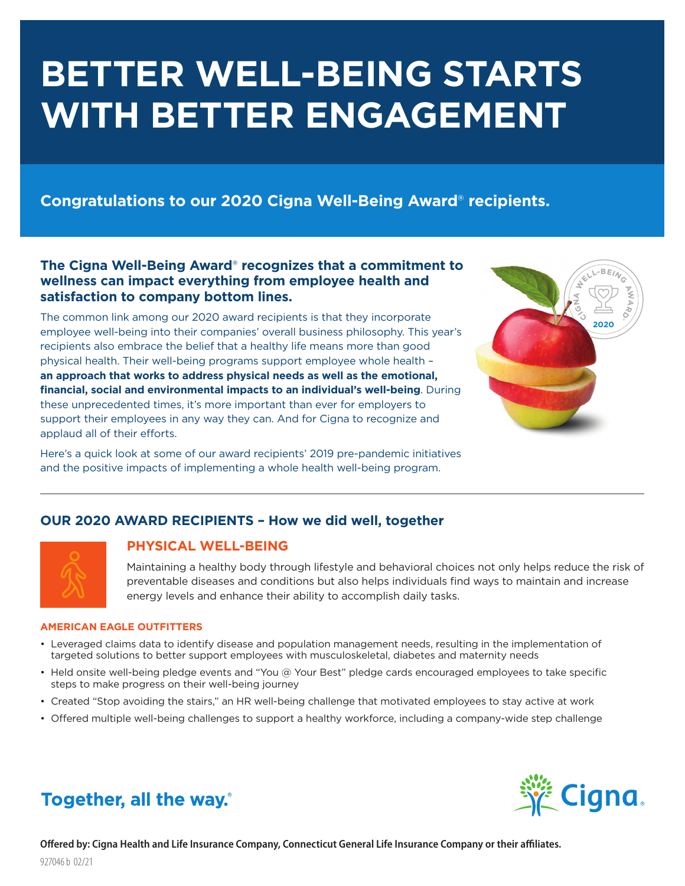# **BETTER WELL-BEING STARTS WITH BETTER ENGAGEMENT**

# **Congratulations to our 2020 Cigna Well-Being Award**® **recipients.**

## **The Cigna Well-Being Award**® **recognizes that a commitment to wellness can impact everything from employee health and satisfaction to company bottom lines.**

The common link among our 2020 award recipients is that they incorporate employee well-being into their companies' overall business philosophy. This year's recipients also embrace the belief that a healthy life means more than good physical health. Their well-being programs support employee whole health – **an approach that works to address physical needs as well as the emotional, financial, social and environmental impacts to an individual's well-being**. During these unprecedented times, it's more important than ever for employers to support their employees in any way they can. And for Cigna to recognize and applaud all of their efforts.

Here's a quick look at some of our award recipients' 2019 pre-pandemic initiatives and the positive impacts of implementing a whole health well-being program.



## **OUR 2020 AWARD RECIPIENTS – How we did well, together**



## **PHYSICAL WELL-BEING**

Maintaining a healthy body through lifestyle and behavioral choices not only helps reduce the risk of preventable diseases and conditions but also helps individuals find ways to maintain and increase energy levels and enhance their ability to accomplish daily tasks.

#### **AMERICAN EAGLE OUTFITTERS**

- Leveraged claims data to identify disease and population management needs, resulting in the implementation of targeted solutions to better support employees with musculoskeletal, diabetes and maternity needs
- Held onsite well-being pledge events and "You @ Your Best" pledge cards encouraged employees to take specific steps to make progress on their well-being journey
- Created "Stop avoiding the stairs," an HR well-being challenge that motivated employees to stay active at work
- Offered multiple well-being challenges to support a healthy workforce, including a company-wide step challenge



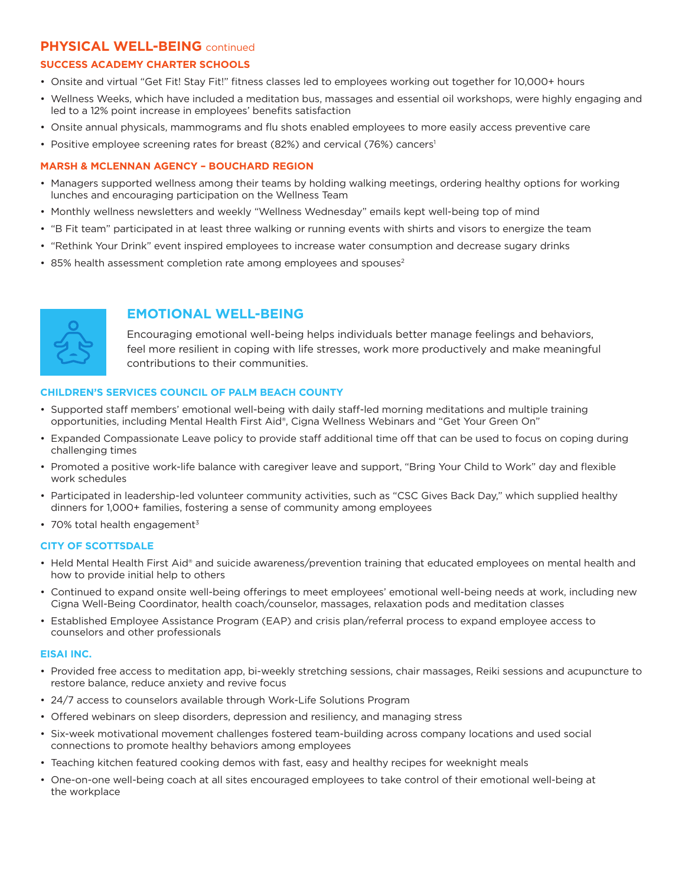## **PHYSICAL WELL-BEING** continued

#### **SUCCESS ACADEMY CHARTER SCHOOLS**

- Onsite and virtual "Get Fit! Stay Fit!" fitness classes led to employees working out together for 10,000+ hours
- Wellness Weeks, which have included a meditation bus, massages and essential oil workshops, were highly engaging and led to a 12% point increase in employees' benefits satisfaction
- Onsite annual physicals, mammograms and flu shots enabled employees to more easily access preventive care
- Positive employee screening rates for breast (82%) and cervical (76%) cancers<sup>1</sup>

#### **MARSH & MCLENNAN AGENCY – BOUCHARD REGION**

- Managers supported wellness among their teams by holding walking meetings, ordering healthy options for working lunches and encouraging participation on the Wellness Team
- Monthly wellness newsletters and weekly "Wellness Wednesday" emails kept well-being top of mind
- "B Fit team" participated in at least three walking or running events with shirts and visors to energize the team
- "Rethink Your Drink" event inspired employees to increase water consumption and decrease sugary drinks
- 85% health assessment completion rate among employees and spouses<sup>2</sup>



## **EMOTIONAL WELL-BEING**

Encouraging emotional well-being helps individuals better manage feelings and behaviors, feel more resilient in coping with life stresses, work more productively and make meaningful contributions to their communities.

#### **CHILDREN'S SERVICES COUNCIL OF PALM BEACH COUNTY**

- Supported staff members' emotional well-being with daily staff-led morning meditations and multiple training opportunities, including Mental Health First Aid®, Cigna Wellness Webinars and "Get Your Green On"
- Expanded Compassionate Leave policy to provide staff additional time off that can be used to focus on coping during challenging times
- Promoted a positive work-life balance with caregiver leave and support, "Bring Your Child to Work" day and flexible work schedules
- Participated in leadership-led volunteer community activities, such as "CSC Gives Back Day," which supplied healthy dinners for 1,000+ families, fostering a sense of community among employees
- $\cdot$  70% total health engagement<sup>3</sup>

#### **CITY OF SCOTTSDALE**

- Held Mental Health First Aid® and suicide awareness/prevention training that educated employees on mental health and how to provide initial help to others
- Continued to expand onsite well-being offerings to meet employees' emotional well-being needs at work, including new Cigna Well-Being Coordinator, health coach/counselor, massages, relaxation pods and meditation classes
- Established Employee Assistance Program (EAP) and crisis plan/referral process to expand employee access to counselors and other professionals

#### **EISAI INC.**

- Provided free access to meditation app, bi-weekly stretching sessions, chair massages, Reiki sessions and acupuncture to restore balance, reduce anxiety and revive focus
- 24/7 access to counselors available through Work-Life Solutions Program
- Offered webinars on sleep disorders, depression and resiliency, and managing stress
- Six-week motivational movement challenges fostered team-building across company locations and used social connections to promote healthy behaviors among employees
- Teaching kitchen featured cooking demos with fast, easy and healthy recipes for weeknight meals
- One-on-one well-being coach at all sites encouraged employees to take control of their emotional well-being at the workplace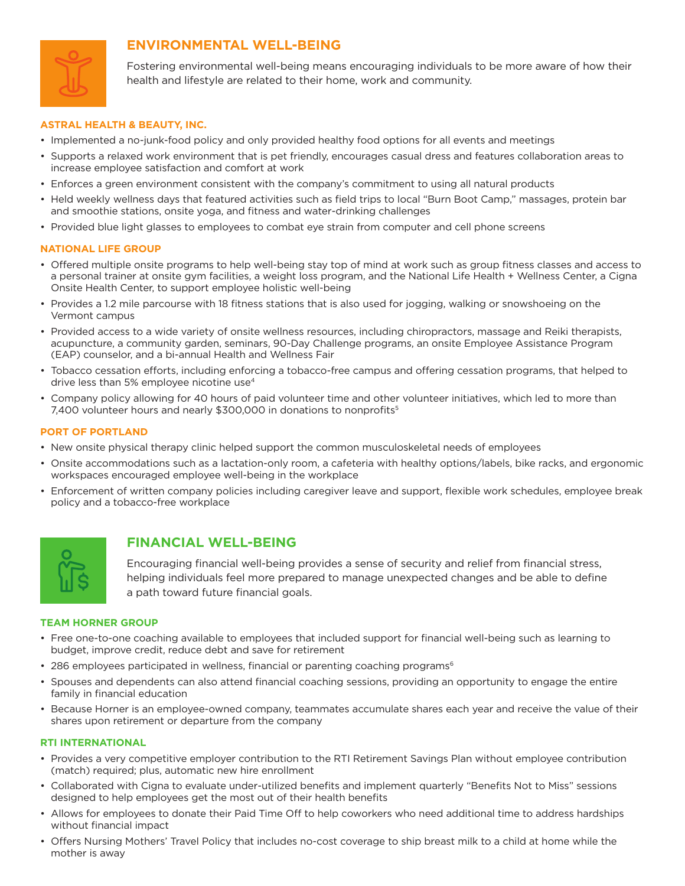

## **ENVIRONMENTAL WELL-BEING**

Fostering environmental well-being means encouraging individuals to be more aware of how their health and lifestyle are related to their home, work and community.

#### **ASTRAL HEALTH & BEAUTY, INC.**

- Implemented a no-junk-food policy and only provided healthy food options for all events and meetings
- Supports a relaxed work environment that is pet friendly, encourages casual dress and features collaboration areas to increase employee satisfaction and comfort at work
- Enforces a green environment consistent with the company's commitment to using all natural products
- Held weekly wellness days that featured activities such as field trips to local "Burn Boot Camp," massages, protein bar and smoothie stations, onsite yoga, and fitness and water-drinking challenges
- Provided blue light glasses to employees to combat eye strain from computer and cell phone screens

#### **NATIONAL LIFE GROUP**

- Offered multiple onsite programs to help well-being stay top of mind at work such as group fitness classes and access to a personal trainer at onsite gym facilities, a weight loss program, and the National Life Health + Wellness Center, a Cigna Onsite Health Center, to support employee holistic well-being
- Provides a 1.2 mile parcourse with 18 fitness stations that is also used for jogging, walking or snowshoeing on the Vermont campus
- Provided access to a wide variety of onsite wellness resources, including chiropractors, massage and Reiki therapists, acupuncture, a community garden, seminars, 90-Day Challenge programs, an onsite Employee Assistance Program (EAP) counselor, and a bi-annual Health and Wellness Fair
- Tobacco cessation efforts, including enforcing a tobacco-free campus and offering cessation programs, that helped to drive less than 5% employee nicotine use<sup>4</sup>
- Company policy allowing for 40 hours of paid volunteer time and other volunteer initiatives, which led to more than 7,400 volunteer hours and nearly \$300,000 in donations to nonprofits<sup>5</sup>

#### **PORT OF PORTLAND**

- New onsite physical therapy clinic helped support the common musculoskeletal needs of employees
- Onsite accommodations such as a lactation-only room, a cafeteria with healthy options/labels, bike racks, and ergonomic workspaces encouraged employee well-being in the workplace
- Enforcement of written company policies including caregiver leave and support, flexible work schedules, employee break policy and a tobacco-free workplace



### **FINANCIAL WELL-BEING**

Encouraging financial well-being provides a sense of security and relief from financial stress, helping individuals feel more prepared to manage unexpected changes and be able to define a path toward future financial goals.

#### **TEAM HORNER GROUP**

- Free one-to-one coaching available to employees that included support for financial well-being such as learning to budget, improve credit, reduce debt and save for retirement
- 286 employees participated in wellness, financial or parenting coaching programs<sup>6</sup>
- Spouses and dependents can also attend financial coaching sessions, providing an opportunity to engage the entire family in financial education
- Because Horner is an employee-owned company, teammates accumulate shares each year and receive the value of their shares upon retirement or departure from the company

#### **RTI INTERNATIONAL**

- Provides a very competitive employer contribution to the RTI Retirement Savings Plan without employee contribution (match) required; plus, automatic new hire enrollment
- Collaborated with Cigna to evaluate under-utilized benefits and implement quarterly "Benefits Not to Miss" sessions designed to help employees get the most out of their health benefits
- Allows for employees to donate their Paid Time Off to help coworkers who need additional time to address hardships without financial impact
- Offers Nursing Mothers' Travel Policy that includes no-cost coverage to ship breast milk to a child at home while the mother is away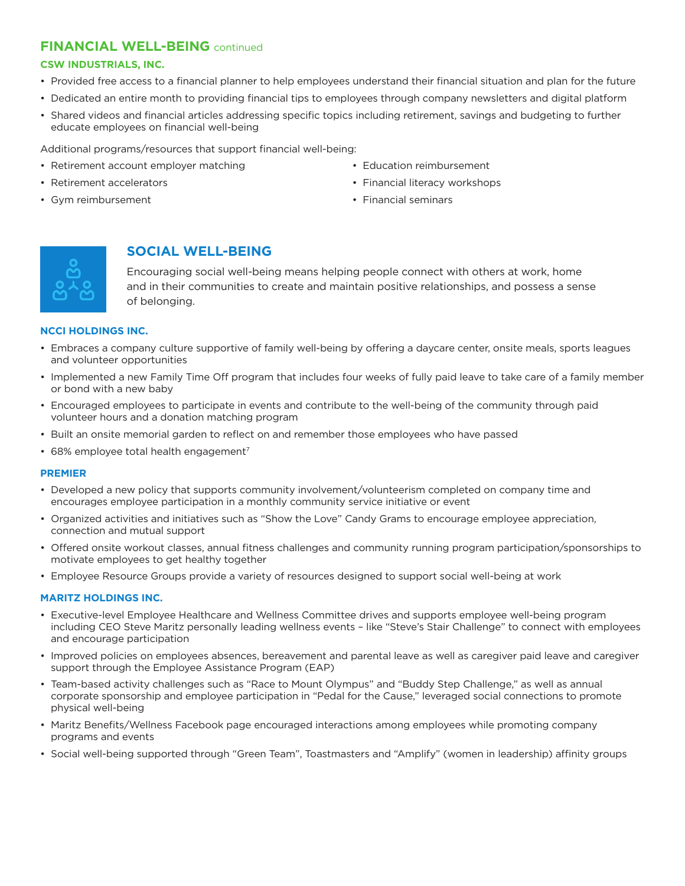## **FINANCIAL WELL-BEING** continued

#### **CSW INDUSTRIALS, INC.**

- Provided free access to a financial planner to help employees understand their financial situation and plan for the future
- Dedicated an entire month to providing financial tips to employees through company newsletters and digital platform
- Shared videos and financial articles addressing specific topics including retirement, savings and budgeting to further educate employees on financial well-being

Additional programs/resources that support financial well-being:

- Retirement account employer matching
- Retirement accelerators
- Gym reimbursement
- Education reimbursement
- Financial literacy workshops
- Financial seminars



# **SOCIAL WELL-BEING**

Encouraging social well-being means helping people connect with others at work, home and in their communities to create and maintain positive relationships, and possess a sense of belonging.

#### **NCCI HOLDINGS INC.**

- Embraces a company culture supportive of family well-being by offering a daycare center, onsite meals, sports leagues and volunteer opportunities
- Implemented a new Family Time Off program that includes four weeks of fully paid leave to take care of a family member or bond with a new baby
- Encouraged employees to participate in events and contribute to the well-being of the community through paid volunteer hours and a donation matching program
- Built an onsite memorial garden to reflect on and remember those employees who have passed
- $\cdot$  68% employee total health engagement<sup>7</sup>

#### **PREMIER**

- Developed a new policy that supports community involvement/volunteerism completed on company time and encourages employee participation in a monthly community service initiative or event
- Organized activities and initiatives such as "Show the Love" Candy Grams to encourage employee appreciation, connection and mutual support
- Offered onsite workout classes, annual fitness challenges and community running program participation/sponsorships to motivate employees to get healthy together
- Employee Resource Groups provide a variety of resources designed to support social well-being at work

#### **MARITZ HOLDINGS INC.**

- Executive-level Employee Healthcare and Wellness Committee drives and supports employee well-being program including CEO Steve Maritz personally leading wellness events – like "Steve's Stair Challenge" to connect with employees and encourage participation
- Improved policies on employees absences, bereavement and parental leave as well as caregiver paid leave and caregiver support through the Employee Assistance Program (EAP)
- Team-based activity challenges such as "Race to Mount Olympus" and "Buddy Step Challenge," as well as annual corporate sponsorship and employee participation in "Pedal for the Cause," leveraged social connections to promote physical well-being
- Maritz Benefits/Wellness Facebook page encouraged interactions among employees while promoting company programs and events
- Social well-being supported through "Green Team", Toastmasters and "Amplify" (women in leadership) affinity groups